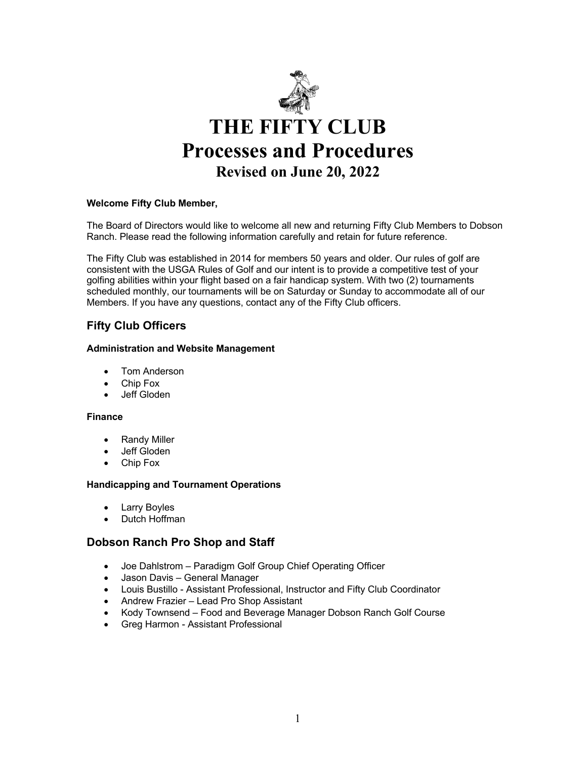

### **Welcome Fifty Club Member,**

The Board of Directors would like to welcome all new and returning Fifty Club Members to Dobson Ranch. Please read the following information carefully and retain for future reference.

The Fifty Club was established in 2014 for members 50 years and older. Our rules of golf are consistent with the USGA Rules of Golf and our intent is to provide a competitive test of your golfing abilities within your flight based on a fair handicap system. With two (2) tournaments scheduled monthly, our tournaments will be on Saturday or Sunday to accommodate all of our Members. If you have any questions, contact any of the Fifty Club officers.

# **Fifty Club Officers**

#### **Administration and Website Management**

- Tom Anderson
- Chip Fox
- Jeff Gloden

#### **Finance**

- Randy Miller
- Jeff Gloden
- Chip Fox

#### **Handicapping and Tournament Operations**

- Larry Boyles
- Dutch Hoffman

## **Dobson Ranch Pro Shop and Staff**

- Joe Dahlstrom Paradigm Golf Group Chief Operating Officer
- Jason Davis General Manager
- Louis Bustillo Assistant Professional, Instructor and Fifty Club Coordinator
- Andrew Frazier Lead Pro Shop Assistant
- Kody Townsend Food and Beverage Manager Dobson Ranch Golf Course
- Greg Harmon Assistant Professional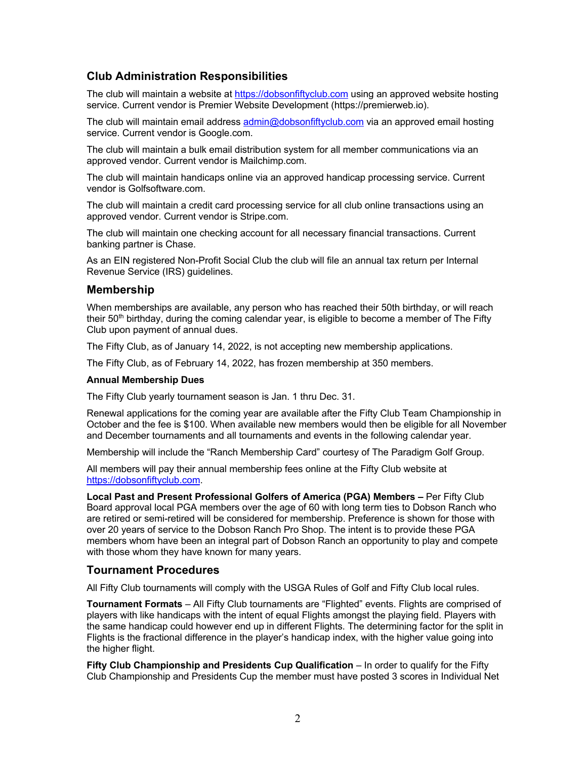# **Club Administration Responsibilities**

The club will maintain a website at https://dobsonfiftyclub.com using an approved website hosting service. Current vendor is Premier Website Development (https://premierweb.io).

The club will maintain email address admin@dobsonfiftyclub.com via an approved email hosting service. Current vendor is Google.com.

The club will maintain a bulk email distribution system for all member communications via an approved vendor. Current vendor is Mailchimp.com.

The club will maintain handicaps online via an approved handicap processing service. Current vendor is Golfsoftware.com.

The club will maintain a credit card processing service for all club online transactions using an approved vendor. Current vendor is Stripe.com.

The club will maintain one checking account for all necessary financial transactions. Current banking partner is Chase.

As an EIN registered Non-Profit Social Club the club will file an annual tax return per Internal Revenue Service (IRS) guidelines.

## **Membership**

When memberships are available, any person who has reached their 50th birthday, or will reach their 50<sup>th</sup> birthday, during the coming calendar year, is eligible to become a member of The Fifty Club upon payment of annual dues.

The Fifty Club, as of January 14, 2022, is not accepting new membership applications.

The Fifty Club, as of February 14, 2022, has frozen membership at 350 members.

#### **Annual Membership Dues**

The Fifty Club yearly tournament season is Jan. 1 thru Dec. 31.

Renewal applications for the coming year are available after the Fifty Club Team Championship in October and the fee is \$100. When available new members would then be eligible for all November and December tournaments and all tournaments and events in the following calendar year.

Membership will include the "Ranch Membership Card" courtesy of The Paradigm Golf Group.

All members will pay their annual membership fees online at the Fifty Club website at https://dobsonfiftyclub.com.

**Local Past and Present Professional Golfers of America (PGA) Members –** Per Fifty Club Board approval local PGA members over the age of 60 with long term ties to Dobson Ranch who are retired or semi-retired will be considered for membership. Preference is shown for those with over 20 years of service to the Dobson Ranch Pro Shop. The intent is to provide these PGA members whom have been an integral part of Dobson Ranch an opportunity to play and compete with those whom they have known for many years.

## **Tournament Procedures**

All Fifty Club tournaments will comply with the USGA Rules of Golf and Fifty Club local rules.

**Tournament Formats** – All Fifty Club tournaments are "Flighted" events. Flights are comprised of players with like handicaps with the intent of equal Flights amongst the playing field. Players with the same handicap could however end up in different Flights. The determining factor for the split in Flights is the fractional difference in the player's handicap index, with the higher value going into the higher flight.

**Fifty Club Championship and Presidents Cup Qualification** – In order to qualify for the Fifty Club Championship and Presidents Cup the member must have posted 3 scores in Individual Net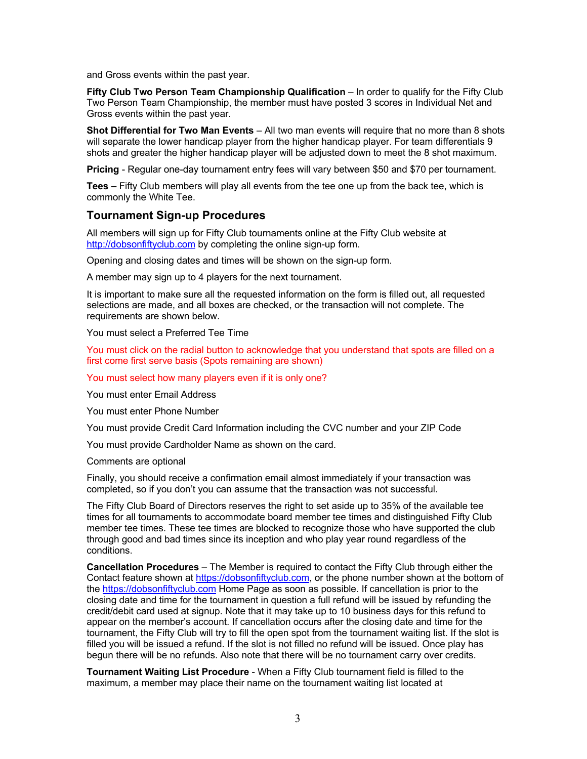and Gross events within the past year.

**Fifty Club Two Person Team Championship Qualification** – In order to qualify for the Fifty Club Two Person Team Championship, the member must have posted 3 scores in Individual Net and Gross events within the past year.

**Shot Differential for Two Man Events** – All two man events will require that no more than 8 shots will separate the lower handicap player from the higher handicap player. For team differentials 9 shots and greater the higher handicap player will be adjusted down to meet the 8 shot maximum.

**Pricing** - Regular one-day tournament entry fees will vary between \$50 and \$70 per tournament.

**Tees –** Fifty Club members will play all events from the tee one up from the back tee, which is commonly the White Tee.

## **Tournament Sign-up Procedures**

All members will sign up for Fifty Club tournaments online at the Fifty Club website at http://dobsonfiftyclub.com by completing the online sign-up form.

Opening and closing dates and times will be shown on the sign-up form.

A member may sign up to 4 players for the next tournament.

It is important to make sure all the requested information on the form is filled out, all requested selections are made, and all boxes are checked, or the transaction will not complete. The requirements are shown below.

You must select a Preferred Tee Time

You must click on the radial button to acknowledge that you understand that spots are filled on a first come first serve basis (Spots remaining are shown)

You must select how many players even if it is only one?

You must enter Email Address

You must enter Phone Number

You must provide Credit Card Information including the CVC number and your ZIP Code

You must provide Cardholder Name as shown on the card.

Comments are optional

Finally, you should receive a confirmation email almost immediately if your transaction was completed, so if you don't you can assume that the transaction was not successful.

The Fifty Club Board of Directors reserves the right to set aside up to 35% of the available tee times for all tournaments to accommodate board member tee times and distinguished Fifty Club member tee times. These tee times are blocked to recognize those who have supported the club through good and bad times since its inception and who play year round regardless of the conditions.

**Cancellation Procedures** – The Member is required to contact the Fifty Club through either the Contact feature shown at https://dobsonfiftyclub.com, or the phone number shown at the bottom of the https://dobsonfiftyclub.com Home Page as soon as possible. If cancellation is prior to the closing date and time for the tournament in question a full refund will be issued by refunding the credit/debit card used at signup. Note that it may take up to 10 business days for this refund to appear on the member's account. If cancellation occurs after the closing date and time for the tournament, the Fifty Club will try to fill the open spot from the tournament waiting list. If the slot is filled you will be issued a refund. If the slot is not filled no refund will be issued. Once play has begun there will be no refunds. Also note that there will be no tournament carry over credits.

**Tournament Waiting List Procedure** - When a Fifty Club tournament field is filled to the maximum, a member may place their name on the tournament waiting list located at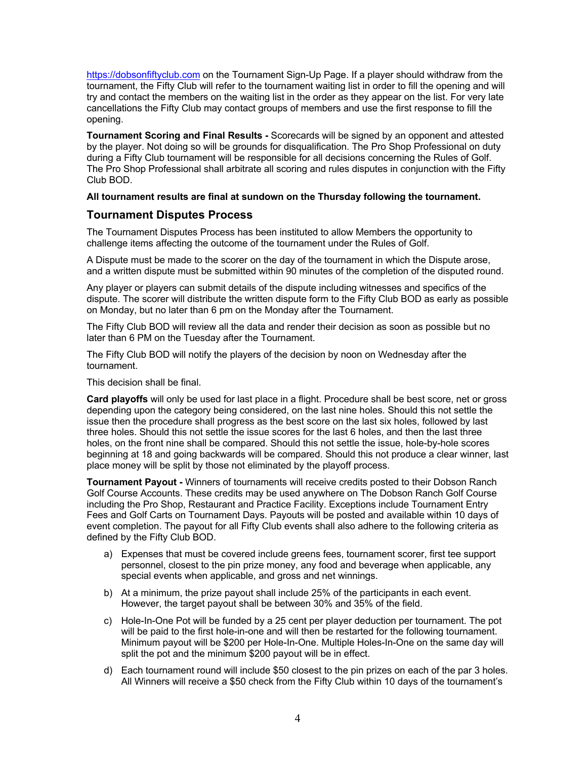https://dobsonfiftyclub.com on the Tournament Sign-Up Page. If a player should withdraw from the tournament, the Fifty Club will refer to the tournament waiting list in order to fill the opening and will try and contact the members on the waiting list in the order as they appear on the list. For very late cancellations the Fifty Club may contact groups of members and use the first response to fill the opening.

**Tournament Scoring and Final Results -** Scorecards will be signed by an opponent and attested by the player. Not doing so will be grounds for disqualification. The Pro Shop Professional on duty during a Fifty Club tournament will be responsible for all decisions concerning the Rules of Golf. The Pro Shop Professional shall arbitrate all scoring and rules disputes in conjunction with the Fifty Club BOD.

### **All tournament results are final at sundown on the Thursday following the tournament.**

## **Tournament Disputes Process**

The Tournament Disputes Process has been instituted to allow Members the opportunity to challenge items affecting the outcome of the tournament under the Rules of Golf.

A Dispute must be made to the scorer on the day of the tournament in which the Dispute arose, and a written dispute must be submitted within 90 minutes of the completion of the disputed round.

Any player or players can submit details of the dispute including witnesses and specifics of the dispute. The scorer will distribute the written dispute form to the Fifty Club BOD as early as possible on Monday, but no later than 6 pm on the Monday after the Tournament.

The Fifty Club BOD will review all the data and render their decision as soon as possible but no later than 6 PM on the Tuesday after the Tournament.

The Fifty Club BOD will notify the players of the decision by noon on Wednesday after the tournament.

This decision shall be final.

**Card playoffs** will only be used for last place in a flight. Procedure shall be best score, net or gross depending upon the category being considered, on the last nine holes. Should this not settle the issue then the procedure shall progress as the best score on the last six holes, followed by last three holes. Should this not settle the issue scores for the last 6 holes, and then the last three holes, on the front nine shall be compared. Should this not settle the issue, hole-by-hole scores beginning at 18 and going backwards will be compared. Should this not produce a clear winner, last place money will be split by those not eliminated by the playoff process.

**Tournament Payout -** Winners of tournaments will receive credits posted to their Dobson Ranch Golf Course Accounts. These credits may be used anywhere on The Dobson Ranch Golf Course including the Pro Shop, Restaurant and Practice Facility. Exceptions include Tournament Entry Fees and Golf Carts on Tournament Days. Payouts will be posted and available within 10 days of event completion. The payout for all Fifty Club events shall also adhere to the following criteria as defined by the Fifty Club BOD.

- a) Expenses that must be covered include greens fees, tournament scorer, first tee support personnel, closest to the pin prize money, any food and beverage when applicable, any special events when applicable, and gross and net winnings.
- b) At a minimum, the prize payout shall include 25% of the participants in each event. However, the target payout shall be between 30% and 35% of the field.
- c) Hole-In-One Pot will be funded by a 25 cent per player deduction per tournament. The pot will be paid to the first hole-in-one and will then be restarted for the following tournament. Minimum payout will be \$200 per Hole-In-One. Multiple Holes-In-One on the same day will split the pot and the minimum \$200 payout will be in effect.
- d) Each tournament round will include \$50 closest to the pin prizes on each of the par 3 holes. All Winners will receive a \$50 check from the Fifty Club within 10 days of the tournament's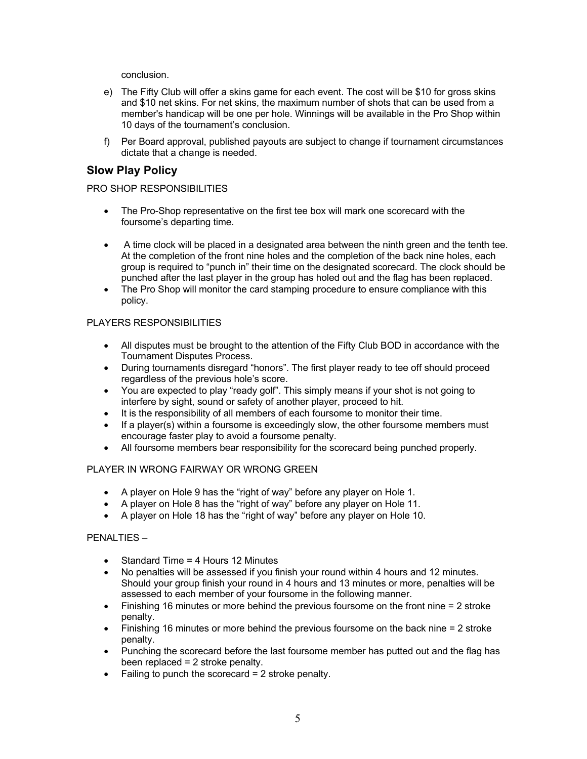conclusion.

- e) The Fifty Club will offer a skins game for each event. The cost will be \$10 for gross skins and \$10 net skins. For net skins, the maximum number of shots that can be used from a member's handicap will be one per hole. Winnings will be available in the Pro Shop within 10 days of the tournament's conclusion.
- f) Per Board approval, published payouts are subject to change if tournament circumstances dictate that a change is needed.

## **Slow Play Policy**

PRO SHOP RESPONSIBILITIES

- The Pro-Shop representative on the first tee box will mark one scorecard with the foursome's departing time.
- A time clock will be placed in a designated area between the ninth green and the tenth tee. At the completion of the front nine holes and the completion of the back nine holes, each group is required to "punch in" their time on the designated scorecard. The clock should be punched after the last player in the group has holed out and the flag has been replaced.
- The Pro Shop will monitor the card stamping procedure to ensure compliance with this policy.

### PLAYERS RESPONSIBILITIES

- All disputes must be brought to the attention of the Fifty Club BOD in accordance with the Tournament Disputes Process.
- During tournaments disregard "honors". The first player ready to tee off should proceed regardless of the previous hole's score.
- You are expected to play "ready golf". This simply means if your shot is not going to interfere by sight, sound or safety of another player, proceed to hit.
- It is the responsibility of all members of each foursome to monitor their time.
- If a player(s) within a foursome is exceedingly slow, the other foursome members must encourage faster play to avoid a foursome penalty.
- All foursome members bear responsibility for the scorecard being punched properly.

## PLAYER IN WRONG FAIRWAY OR WRONG GREEN

- A player on Hole 9 has the "right of way" before any player on Hole 1.
- A player on Hole 8 has the "right of way" before any player on Hole 11.
- A player on Hole 18 has the "right of way" before any player on Hole 10.

#### PENALTIES –

- Standard Time = 4 Hours 12 Minutes
- No penalties will be assessed if you finish your round within 4 hours and 12 minutes. Should your group finish your round in 4 hours and 13 minutes or more, penalties will be assessed to each member of your foursome in the following manner.
- Finishing 16 minutes or more behind the previous foursome on the front nine = 2 stroke penalty.
- Finishing 16 minutes or more behind the previous foursome on the back nine = 2 stroke penalty.
- Punching the scorecard before the last foursome member has putted out and the flag has been replaced = 2 stroke penalty.
- Failing to punch the scorecard  $= 2$  stroke penalty.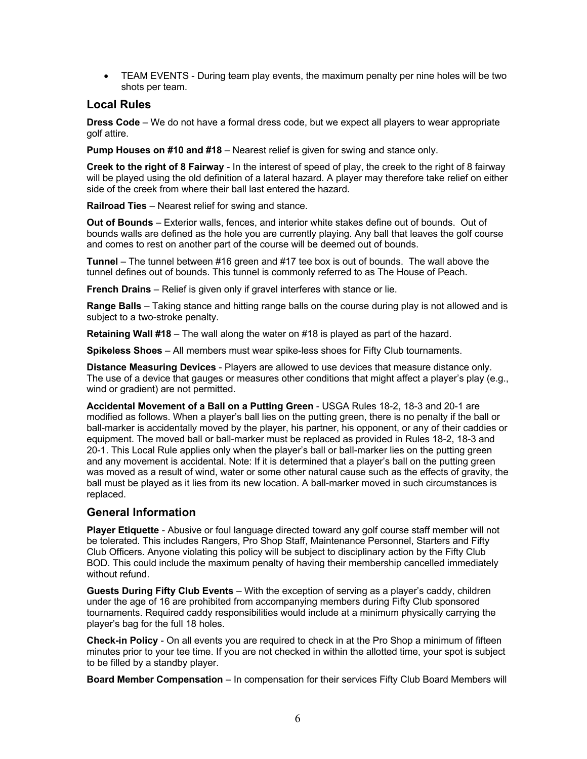• TEAM EVENTS - During team play events, the maximum penalty per nine holes will be two shots per team.

## **Local Rules**

**Dress Code** – We do not have a formal dress code, but we expect all players to wear appropriate golf attire.

**Pump Houses on #10 and #18** – Nearest relief is given for swing and stance only.

**Creek to the right of 8 Fairway** - In the interest of speed of play, the creek to the right of 8 fairway will be played using the old definition of a lateral hazard. A player may therefore take relief on either side of the creek from where their ball last entered the hazard.

**Railroad Ties** – Nearest relief for swing and stance.

**Out of Bounds** – Exterior walls, fences, and interior white stakes define out of bounds. Out of bounds walls are defined as the hole you are currently playing. Any ball that leaves the golf course and comes to rest on another part of the course will be deemed out of bounds.

**Tunnel** – The tunnel between #16 green and #17 tee box is out of bounds. The wall above the tunnel defines out of bounds. This tunnel is commonly referred to as The House of Peach.

**French Drains** – Relief is given only if gravel interferes with stance or lie.

**Range Balls** – Taking stance and hitting range balls on the course during play is not allowed and is subject to a two-stroke penalty.

**Retaining Wall #18** – The wall along the water on #18 is played as part of the hazard.

**Spikeless Shoes** – All members must wear spike-less shoes for Fifty Club tournaments.

**Distance Measuring Devices** - Players are allowed to use devices that measure distance only. The use of a device that gauges or measures other conditions that might affect a player's play (e.g., wind or gradient) are not permitted.

**Accidental Movement of a Ball on a Putting Green** - USGA Rules 18-2, 18-3 and 20-1 are modified as follows. When a player's ball lies on the putting green, there is no penalty if the ball or ball-marker is accidentally moved by the player, his partner, his opponent, or any of their caddies or equipment. The moved ball or ball-marker must be replaced as provided in Rules 18-2, 18-3 and 20-1. This Local Rule applies only when the player's ball or ball-marker lies on the putting green and any movement is accidental. Note: If it is determined that a player's ball on the putting green was moved as a result of wind, water or some other natural cause such as the effects of gravity, the ball must be played as it lies from its new location. A ball-marker moved in such circumstances is replaced.

## **General Information**

**Player Etiquette** - Abusive or foul language directed toward any golf course staff member will not be tolerated. This includes Rangers, Pro Shop Staff, Maintenance Personnel, Starters and Fifty Club Officers. Anyone violating this policy will be subject to disciplinary action by the Fifty Club BOD. This could include the maximum penalty of having their membership cancelled immediately without refund.

**Guests During Fifty Club Events** – With the exception of serving as a player's caddy, children under the age of 16 are prohibited from accompanying members during Fifty Club sponsored tournaments. Required caddy responsibilities would include at a minimum physically carrying the player's bag for the full 18 holes.

**Check-in Policy** - On all events you are required to check in at the Pro Shop a minimum of fifteen minutes prior to your tee time. If you are not checked in within the allotted time, your spot is subject to be filled by a standby player.

**Board Member Compensation** – In compensation for their services Fifty Club Board Members will